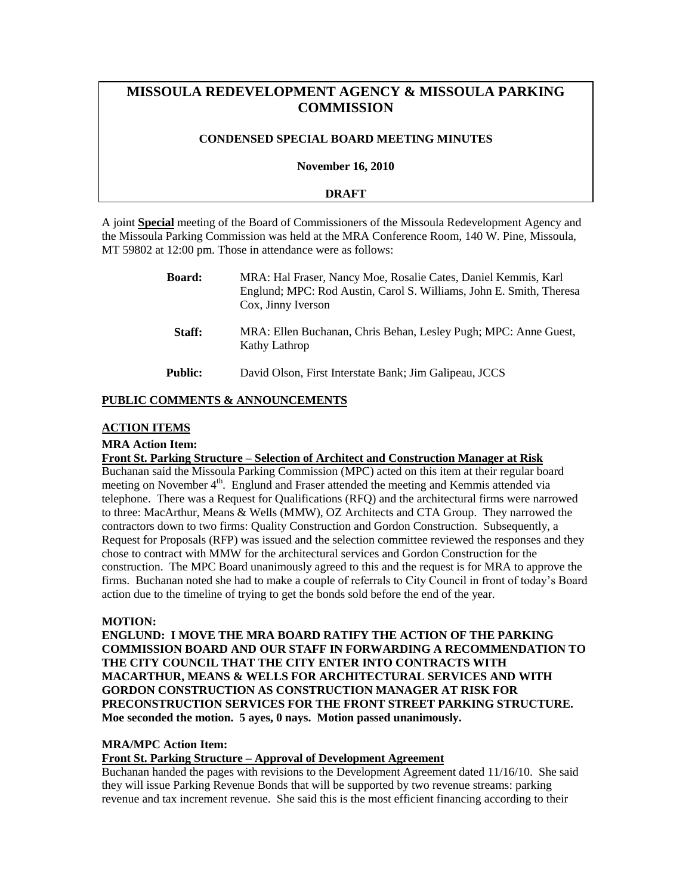# **MISSOULA REDEVELOPMENT AGENCY & MISSOULA PARKING COMMISSION**

## **CONDENSED SPECIAL BOARD MEETING MINUTES**

**November 16, 2010**

## **DRAFT**

A joint **Special** meeting of the Board of Commissioners of the Missoula Redevelopment Agency and the Missoula Parking Commission was held at the MRA Conference Room, 140 W. Pine, Missoula, MT 59802 at 12:00 pm. Those in attendance were as follows:

| <b>Board:</b> | MRA: Hal Fraser, Nancy Moe, Rosalie Cates, Daniel Kemmis, Karl<br>Englund; MPC: Rod Austin, Carol S. Williams, John E. Smith, Theresa<br>Cox, Jinny Iverson |
|---------------|-------------------------------------------------------------------------------------------------------------------------------------------------------------|
| Staff:        | MRA: Ellen Buchanan, Chris Behan, Lesley Pugh; MPC: Anne Guest,<br>Kathy Lathrop                                                                            |
| Public:       | David Olson, First Interstate Bank; Jim Galipeau, JCCS                                                                                                      |

# **PUBLIC COMMENTS & ANNOUNCEMENTS**

#### **ACTION ITEMS**

## **MRA Action Item:**

#### **Front St. Parking Structure – Selection of Architect and Construction Manager at Risk**

Buchanan said the Missoula Parking Commission (MPC) acted on this item at their regular board meeting on November 4<sup>th</sup>. Englund and Fraser attended the meeting and Kemmis attended via telephone. There was a Request for Qualifications (RFQ) and the architectural firms were narrowed to three: MacArthur, Means & Wells (MMW), OZ Architects and CTA Group. They narrowed the contractors down to two firms: Quality Construction and Gordon Construction. Subsequently, a Request for Proposals (RFP) was issued and the selection committee reviewed the responses and they chose to contract with MMW for the architectural services and Gordon Construction for the construction. The MPC Board unanimously agreed to this and the request is for MRA to approve the firms. Buchanan noted she had to make a couple of referrals to City Council in front of today's Board action due to the timeline of trying to get the bonds sold before the end of the year.

#### **MOTION:**

**ENGLUND: I MOVE THE MRA BOARD RATIFY THE ACTION OF THE PARKING COMMISSION BOARD AND OUR STAFF IN FORWARDING A RECOMMENDATION TO THE CITY COUNCIL THAT THE CITY ENTER INTO CONTRACTS WITH MACARTHUR, MEANS & WELLS FOR ARCHITECTURAL SERVICES AND WITH GORDON CONSTRUCTION AS CONSTRUCTION MANAGER AT RISK FOR PRECONSTRUCTION SERVICES FOR THE FRONT STREET PARKING STRUCTURE. Moe seconded the motion. 5 ayes, 0 nays. Motion passed unanimously.** 

## **MRA/MPC Action Item:**

#### **Front St. Parking Structure – Approval of Development Agreement**

Buchanan handed the pages with revisions to the Development Agreement dated 11/16/10. She said they will issue Parking Revenue Bonds that will be supported by two revenue streams: parking revenue and tax increment revenue. She said this is the most efficient financing according to their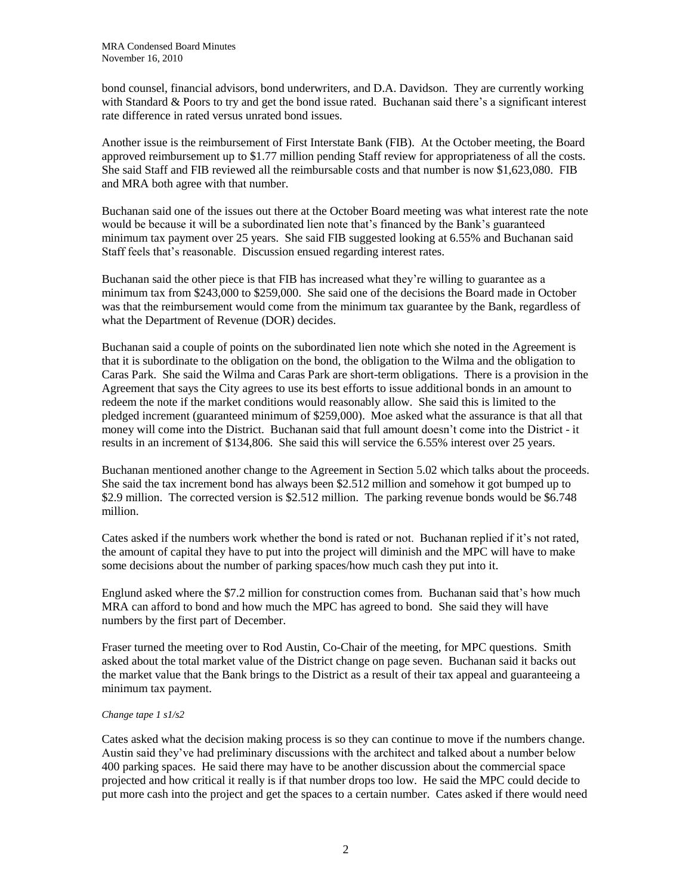bond counsel, financial advisors, bond underwriters, and D.A. Davidson. They are currently working with Standard & Poors to try and get the bond issue rated. Buchanan said there's a significant interest rate difference in rated versus unrated bond issues.

Another issue is the reimbursement of First Interstate Bank (FIB). At the October meeting, the Board approved reimbursement up to \$1.77 million pending Staff review for appropriateness of all the costs. She said Staff and FIB reviewed all the reimbursable costs and that number is now \$1,623,080. FIB and MRA both agree with that number.

Buchanan said one of the issues out there at the October Board meeting was what interest rate the note would be because it will be a subordinated lien note that's financed by the Bank's guaranteed minimum tax payment over 25 years. She said FIB suggested looking at 6.55% and Buchanan said Staff feels that's reasonable. Discussion ensued regarding interest rates.

Buchanan said the other piece is that FIB has increased what they're willing to guarantee as a minimum tax from \$243,000 to \$259,000. She said one of the decisions the Board made in October was that the reimbursement would come from the minimum tax guarantee by the Bank, regardless of what the Department of Revenue (DOR) decides.

Buchanan said a couple of points on the subordinated lien note which she noted in the Agreement is that it is subordinate to the obligation on the bond, the obligation to the Wilma and the obligation to Caras Park. She said the Wilma and Caras Park are short-term obligations. There is a provision in the Agreement that says the City agrees to use its best efforts to issue additional bonds in an amount to redeem the note if the market conditions would reasonably allow. She said this is limited to the pledged increment (guaranteed minimum of \$259,000). Moe asked what the assurance is that all that money will come into the District. Buchanan said that full amount doesn't come into the District - it results in an increment of \$134,806. She said this will service the 6.55% interest over 25 years.

Buchanan mentioned another change to the Agreement in Section 5.02 which talks about the proceeds. She said the tax increment bond has always been \$2.512 million and somehow it got bumped up to \$2.9 million. The corrected version is \$2.512 million. The parking revenue bonds would be \$6.748 million.

Cates asked if the numbers work whether the bond is rated or not. Buchanan replied if it's not rated, the amount of capital they have to put into the project will diminish and the MPC will have to make some decisions about the number of parking spaces/how much cash they put into it.

Englund asked where the \$7.2 million for construction comes from. Buchanan said that's how much MRA can afford to bond and how much the MPC has agreed to bond. She said they will have numbers by the first part of December.

Fraser turned the meeting over to Rod Austin, Co-Chair of the meeting, for MPC questions. Smith asked about the total market value of the District change on page seven. Buchanan said it backs out the market value that the Bank brings to the District as a result of their tax appeal and guaranteeing a minimum tax payment.

#### *Change tape 1 s1/s2*

Cates asked what the decision making process is so they can continue to move if the numbers change. Austin said they've had preliminary discussions with the architect and talked about a number below 400 parking spaces. He said there may have to be another discussion about the commercial space projected and how critical it really is if that number drops too low. He said the MPC could decide to put more cash into the project and get the spaces to a certain number. Cates asked if there would need